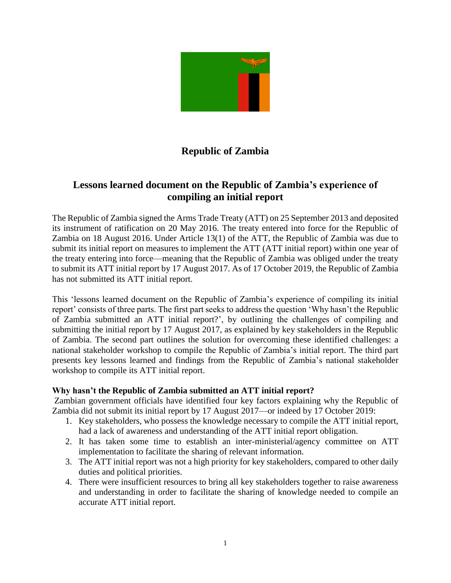

# **Republic of Zambia**

## **Lessons learned document on the Republic of Zambia's experience of compiling an initial report**

The Republic of Zambia signed the Arms Trade Treaty (ATT) on 25 September 2013 and deposited its instrument of ratification on 20 May 2016. The treaty entered into force for the Republic of Zambia on 18 August 2016. Under Article 13(1) of the ATT, the Republic of Zambia was due to submit its initial report on measures to implement the ATT (ATT initial report) within one year of the treaty entering into force—meaning that the Republic of Zambia was obliged under the treaty to submit its ATT initial report by 17 August 2017. As of 17 October 2019, the Republic of Zambia has not submitted its ATT initial report.

This 'lessons learned document on the Republic of Zambia's experience of compiling its initial report' consists of three parts. The first part seeks to address the question 'Why hasn't the Republic of Zambia submitted an ATT initial report?', by outlining the challenges of compiling and submitting the initial report by 17 August 2017, as explained by key stakeholders in the Republic of Zambia. The second part outlines the solution for overcoming these identified challenges: a national stakeholder workshop to compile the Republic of Zambia's initial report. The third part presents key lessons learned and findings from the Republic of Zambia's national stakeholder workshop to compile its ATT initial report.

#### **Why hasn't the Republic of Zambia submitted an ATT initial report?**

Zambian government officials have identified four key factors explaining why the Republic of Zambia did not submit its initial report by 17 August 2017—or indeed by 17 October 2019:

- 1. Key stakeholders, who possess the knowledge necessary to compile the ATT initial report, had a lack of awareness and understanding of the ATT initial report obligation.
- 2. It has taken some time to establish an inter-ministerial/agency committee on ATT implementation to facilitate the sharing of relevant information.
- 3. The ATT initial report was not a high priority for key stakeholders, compared to other daily duties and political priorities.
- 4. There were insufficient resources to bring all key stakeholders together to raise awareness and understanding in order to facilitate the sharing of knowledge needed to compile an accurate ATT initial report.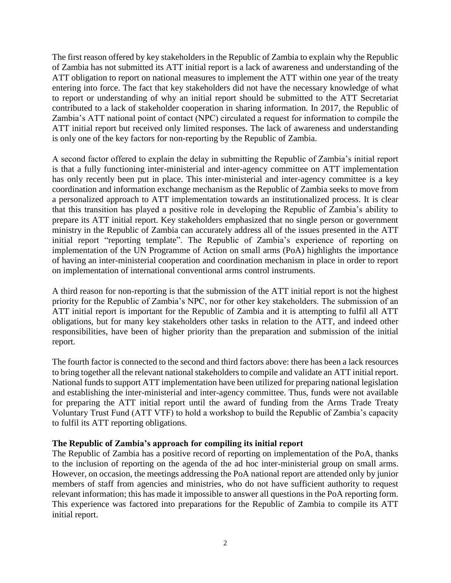The first reason offered by key stakeholders in the Republic of Zambia to explain why the Republic of Zambia has not submitted its ATT initial report is a lack of awareness and understanding of the ATT obligation to report on national measures to implement the ATT within one year of the treaty entering into force. The fact that key stakeholders did not have the necessary knowledge of what to report or understanding of why an initial report should be submitted to the ATT Secretariat contributed to a lack of stakeholder cooperation in sharing information. In 2017, the Republic of Zambia's ATT national point of contact (NPC) circulated a request for information to compile the ATT initial report but received only limited responses. The lack of awareness and understanding is only one of the key factors for non-reporting by the Republic of Zambia.

A second factor offered to explain the delay in submitting the Republic of Zambia's initial report is that a fully functioning inter-ministerial and inter-agency committee on ATT implementation has only recently been put in place. This inter-ministerial and inter-agency committee is a key coordination and information exchange mechanism as the Republic of Zambia seeks to move from a personalized approach to ATT implementation towards an institutionalized process. It is clear that this transition has played a positive role in developing the Republic of Zambia's ability to prepare its ATT initial report. Key stakeholders emphasized that no single person or government ministry in the Republic of Zambia can accurately address all of the issues presented in the ATT initial report "reporting template". The Republic of Zambia's experience of reporting on implementation of the UN Programme of Action on small arms (PoA) highlights the importance of having an inter-ministerial cooperation and coordination mechanism in place in order to report on implementation of international conventional arms control instruments.

A third reason for non-reporting is that the submission of the ATT initial report is not the highest priority for the Republic of Zambia's NPC, nor for other key stakeholders. The submission of an ATT initial report is important for the Republic of Zambia and it is attempting to fulfil all ATT obligations, but for many key stakeholders other tasks in relation to the ATT, and indeed other responsibilities, have been of higher priority than the preparation and submission of the initial report.

The fourth factor is connected to the second and third factors above: there has been a lack resources to bring together all the relevant national stakeholders to compile and validate an ATT initial report. National funds to support ATT implementation have been utilized for preparing national legislation and establishing the inter-ministerial and inter-agency committee. Thus, funds were not available for preparing the ATT initial report until the award of funding from the Arms Trade Treaty Voluntary Trust Fund (ATT VTF) to hold a workshop to build the Republic of Zambia's capacity to fulfil its ATT reporting obligations.

#### **The Republic of Zambia's approach for compiling its initial report**

The Republic of Zambia has a positive record of reporting on implementation of the PoA, thanks to the inclusion of reporting on the agenda of the ad hoc inter-ministerial group on small arms. However, on occasion, the meetings addressing the PoA national report are attended only by junior members of staff from agencies and ministries, who do not have sufficient authority to request relevant information; this has made it impossible to answer all questions in the PoA reporting form. This experience was factored into preparations for the Republic of Zambia to compile its ATT initial report.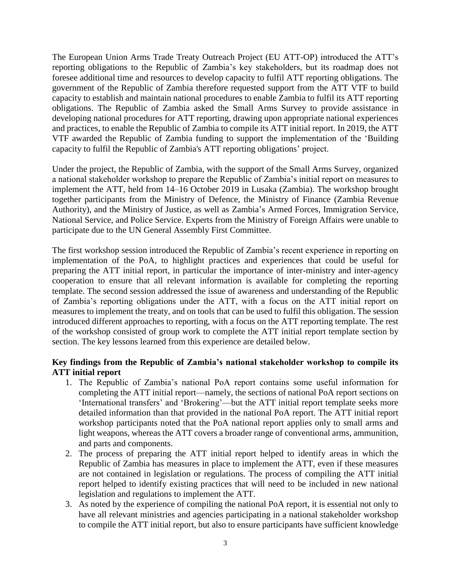The European Union Arms Trade Treaty Outreach Project (EU ATT-OP) introduced the ATT's reporting obligations to the Republic of Zambia's key stakeholders, but its roadmap does not foresee additional time and resources to develop capacity to fulfil ATT reporting obligations. The government of the Republic of Zambia therefore requested support from the ATT VTF to build capacity to establish and maintain national procedures to enable Zambia to fulfil its ATT reporting obligations. The Republic of Zambia asked the Small Arms Survey to provide assistance in developing national procedures for ATT reporting, drawing upon appropriate national experiences and practices, to enable the Republic of Zambia to compile its ATT initial report. In 2019, the ATT VTF awarded the Republic of Zambia funding to support the implementation of the 'Building capacity to fulfil the Republic of Zambia's ATT reporting obligations' project.

Under the project, the Republic of Zambia, with the support of the Small Arms Survey, organized a national stakeholder workshop to prepare the Republic of Zambia's initial report on measures to implement the ATT, held from 14–16 October 2019 in Lusaka (Zambia). The workshop brought together participants from the Ministry of Defence, the Ministry of Finance (Zambia Revenue Authority), and the Ministry of Justice, as well as Zambia's Armed Forces, Immigration Service, National Service, and Police Service. Experts from the Ministry of Foreign Affairs were unable to participate due to the UN General Assembly First Committee.

The first workshop session introduced the Republic of Zambia's recent experience in reporting on implementation of the PoA, to highlight practices and experiences that could be useful for preparing the ATT initial report, in particular the importance of inter-ministry and inter-agency cooperation to ensure that all relevant information is available for completing the reporting template. The second session addressed the issue of awareness and understanding of the Republic of Zambia's reporting obligations under the ATT, with a focus on the ATT initial report on measures to implement the treaty, and on tools that can be used to fulfil this obligation. The session introduced different approaches to reporting, with a focus on the ATT reporting template. The rest of the workshop consisted of group work to complete the ATT initial report template section by section. The key lessons learned from this experience are detailed below.

### **Key findings from the Republic of Zambia's national stakeholder workshop to compile its ATT initial report**

- 1. The Republic of Zambia's national PoA report contains some useful information for completing the ATT initial report—namely, the sections of national PoA report sections on 'International transfers' and 'Brokering'—but the ATT initial report template seeks more detailed information than that provided in the national PoA report. The ATT initial report workshop participants noted that the PoA national report applies only to small arms and light weapons, whereas the ATT covers a broader range of conventional arms, ammunition, and parts and components.
- 2. The process of preparing the ATT initial report helped to identify areas in which the Republic of Zambia has measures in place to implement the ATT, even if these measures are not contained in legislation or regulations. The process of compiling the ATT initial report helped to identify existing practices that will need to be included in new national legislation and regulations to implement the ATT.
- 3. As noted by the experience of compiling the national PoA report, it is essential not only to have all relevant ministries and agencies participating in a national stakeholder workshop to compile the ATT initial report, but also to ensure participants have sufficient knowledge